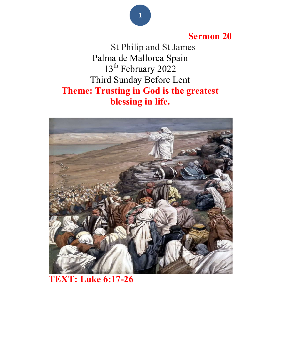## Sermon 20

 St Philip and St James Palma de Mallorca Spain 13<sup>th</sup> February 2022 Third Sunday Before Lent Theme: Trusting in God is the greatest blessing in life.



## TEXT: Luke 6:17-26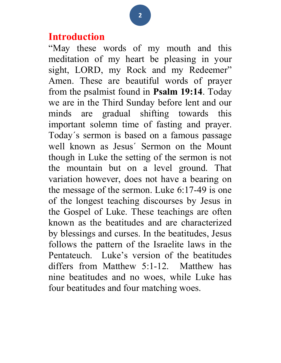#### Introduction

"May these words of my mouth and this meditation of my heart be pleasing in your sight, LORD, my Rock and my Redeemer" Amen. These are beautiful words of prayer from the psalmist found in Psalm 19:14. Today we are in the Third Sunday before lent and our minds are gradual shifting towards this important solemn time of fasting and prayer. Today´s sermon is based on a famous passage well known as Jesus´ Sermon on the Mount though in Luke the setting of the sermon is not the mountain but on a level ground. That variation however, does not have a bearing on the message of the sermon. Luke 6:17-49 is one of the longest teaching discourses by Jesus in the Gospel of Luke. These teachings are often known as the beatitudes and are characterized by blessings and curses. In the beatitudes, Jesus follows the pattern of the Israelite laws in the Pentateuch. Luke's version of the beatitudes differs from Matthew 5:1-12. Matthew has nine beatitudes and no woes, while Luke has four beatitudes and four matching woes.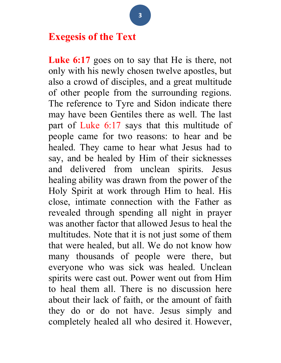## Exegesis of the Text

Luke 6:17 goes on to say that He is there, not only with his newly chosen twelve apostles, but also a crowd of disciples, and a great multitude of other people from the surrounding regions. The reference to Tyre and Sidon indicate there may have been Gentiles there as well. The last part of Luke 6:17 says that this multitude of people came for two reasons: to hear and be healed. They came to hear what Jesus had to say, and be healed by Him of their sicknesses and delivered from unclean spirits. Jesus healing ability was drawn from the power of the Holy Spirit at work through Him to heal. His close, intimate connection with the Father as revealed through spending all night in prayer was another factor that allowed Jesus to heal the multitudes. Note that it is not just some of them that were healed, but all. We do not know how many thousands of people were there, but everyone who was sick was healed. Unclean spirits were cast out. Power went out from Him to heal them all. There is no discussion here about their lack of faith, or the amount of faith they do or do not have. Jesus simply and completely healed all who desired it. However,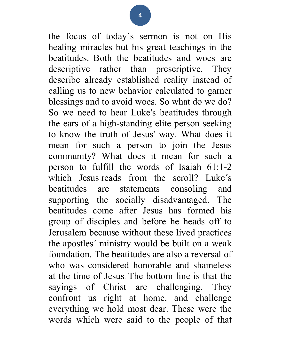the focus of today´s sermon is not on His healing miracles but his great teachings in the beatitudes. Both the beatitudes and woes are descriptive rather than prescriptive. They describe already established reality instead of calling us to new behavior calculated to garner blessings and to avoid woes. So what do we do? So we need to hear Luke's beatitudes through the ears of a high-standing elite person seeking to know the truth of Jesus' way. What does it mean for such a person to join the Jesus community? What does it mean for such a person to fulfill the words of Isaiah 61:1-2 which Jesus reads from the scroll? Luke´s beatitudes are statements consoling and supporting the socially disadvantaged. The beatitudes come after Jesus has formed his group of disciples and before he heads off to Jerusalem because without these lived practices the apostles´ ministry would be built on a weak foundation. The beatitudes are also a reversal of who was considered honorable and shameless at the time of Jesus. The bottom line is that the sayings of Christ are challenging. They confront us right at home, and challenge everything we hold most dear. These were the words which were said to the people of that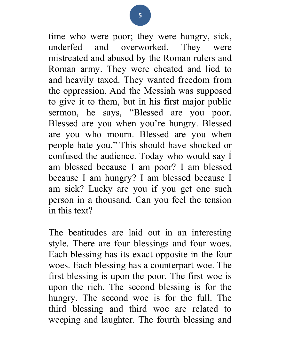time who were poor; they were hungry, sick, underfed and overworked. They were mistreated and abused by the Roman rulers and Roman army. They were cheated and lied to and heavily taxed. They wanted freedom from the oppression. And the Messiah was supposed to give it to them, but in his first major public sermon, he says, "Blessed are you poor. Blessed are you when you're hungry. Blessed are you who mourn. Blessed are you when people hate you." This should have shocked or confused the audience. Today who would say Í am blessed because I am poor? I am blessed because I am hungry? I am blessed because I am sick? Lucky are you if you get one such person in a thousand. Can you feel the tension in this text?

The beatitudes are laid out in an interesting style. There are four blessings and four woes. Each blessing has its exact opposite in the four woes. Each blessing has a counterpart woe. The first blessing is upon the poor. The first woe is upon the rich. The second blessing is for the hungry. The second woe is for the full. The third blessing and third woe are related to weeping and laughter. The fourth blessing and

5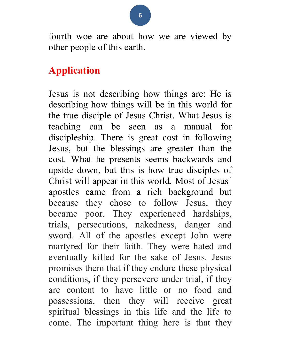fourth woe are about how we are viewed by other people of this earth.

## Application

Jesus is not describing how things are; He is describing how things will be in this world for the true disciple of Jesus Christ. What Jesus is teaching can be seen as a manual for discipleship. There is great cost in following Jesus, but the blessings are greater than the cost. What he presents seems backwards and upside down, but this is how true disciples of Christ will appear in this world. Most of Jesus´ apostles came from a rich background but because they chose to follow Jesus, they became poor. They experienced hardships, trials, persecutions, nakedness, danger and sword. All of the apostles except John were martyred for their faith. They were hated and eventually killed for the sake of Jesus. Jesus promises them that if they endure these physical conditions, if they persevere under trial, if they are content to have little or no food and possessions, then they will receive great spiritual blessings in this life and the life to come. The important thing here is that they

6